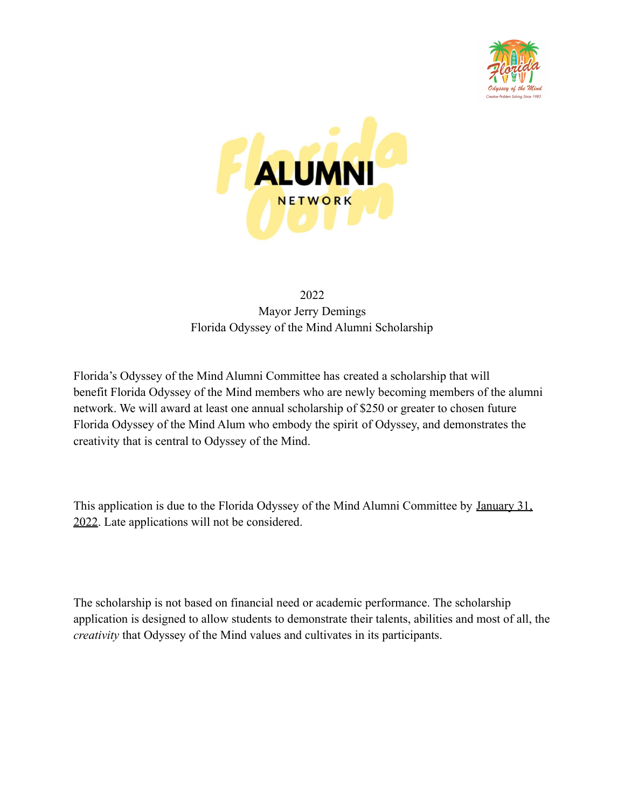



## 2022 Mayor Jerry Demings Florida Odyssey of the Mind Alumni Scholarship

Florida's Odyssey of the Mind Alumni Committee has created a scholarship that will benefit Florida Odyssey of the Mind members who are newly becoming members of the alumni network. We will award at least one annual scholarship of \$250 or greater to chosen future Florida Odyssey of the Mind Alum who embody the spirit of Odyssey, and demonstrates the creativity that is central to Odyssey of the Mind.

This application is due to the Florida Odyssey of the Mind Alumni Committee by January 31, 2022. Late applications will not be considered.

The scholarship is not based on financial need or academic performance. The scholarship application is designed to allow students to demonstrate their talents, abilities and most of all, the *creativity* that Odyssey of the Mind values and cultivates in its participants.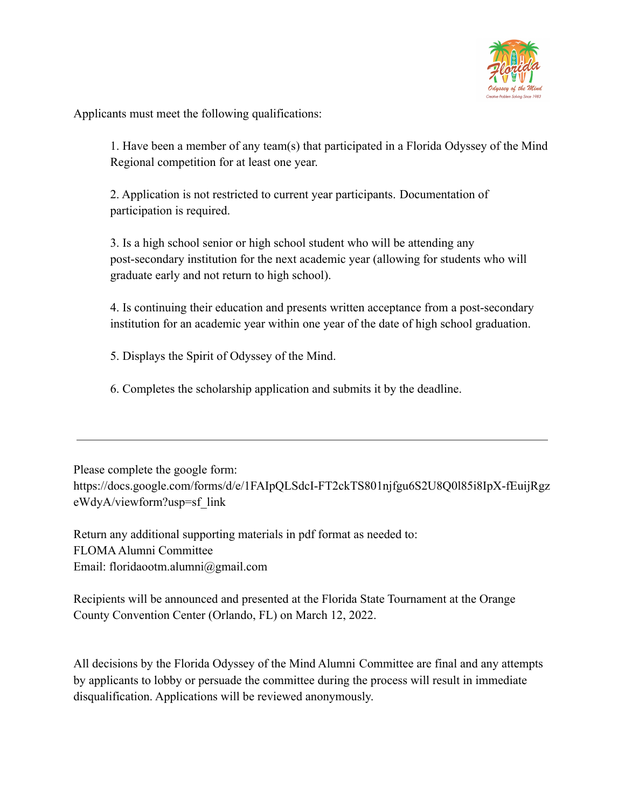

Applicants must meet the following qualifications:

1. Have been a member of any team(s) that participated in a Florida Odyssey of the Mind Regional competition for at least one year.

2. Application is not restricted to current year participants. Documentation of participation is required.

3. Is a high school senior or high school student who will be attending any post-secondary institution for the next academic year (allowing for students who will graduate early and not return to high school).

4. Is continuing their education and presents written acceptance from a post-secondary institution for an academic year within one year of the date of high school graduation.

5. Displays the Spirit of Odyssey of the Mind.

6. Completes the scholarship application and submits it by the deadline.

Please complete the google form:

https://docs.google.com/forms/d/e/1FAIpQLSdcI-FT2ckTS801njfgu6S2U8Q0l85i8IpX-fEuijRgz eWdyA/viewform?usp=sf\_link

Return any additional supporting materials in pdf format as needed to: FLOMAAlumni Committee Email: floridaootm.alumni@gmail.com

Recipients will be announced and presented at the Florida State Tournament at the Orange County Convention Center (Orlando, FL) on March 12, 2022.

All decisions by the Florida Odyssey of the Mind Alumni Committee are final and any attempts by applicants to lobby or persuade the committee during the process will result in immediate disqualification. Applications will be reviewed anonymously.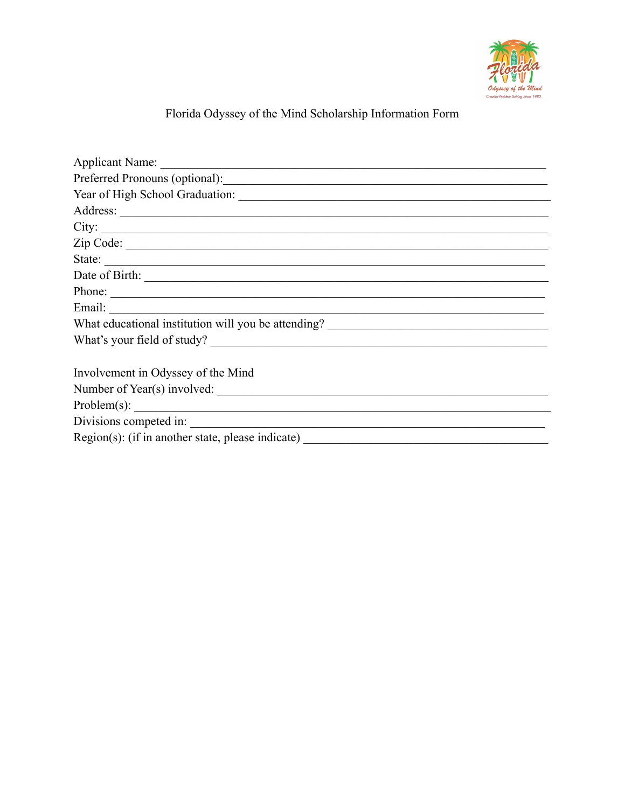

## Florida Odyssey of the Mind Scholarship Information Form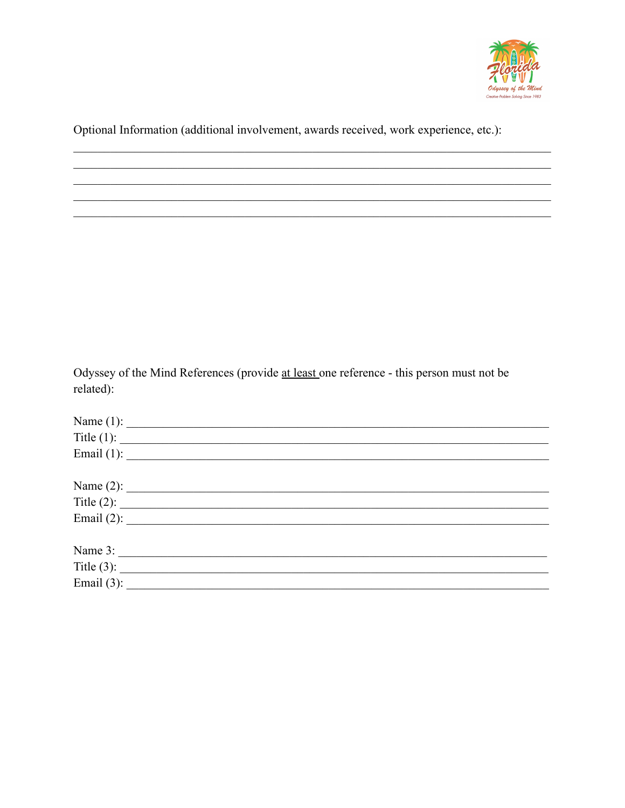

Optional Information (additional involvement, awards received, work experience, etc.):

Odyssey of the Mind References (provide at least one reference - this person must not be related):

| Name (1): $\qquad \qquad$  |  |  |
|----------------------------|--|--|
| Title $(1)$ :              |  |  |
| Email (1): $\qquad \qquad$ |  |  |
|                            |  |  |
| Name $(2)$ :               |  |  |
| Title $(2)$ :              |  |  |
| Email (2): $\qquad \qquad$ |  |  |
| Name 3:                    |  |  |
| Title (3): $\qquad \qquad$ |  |  |
| Email (3): $\qquad \qquad$ |  |  |